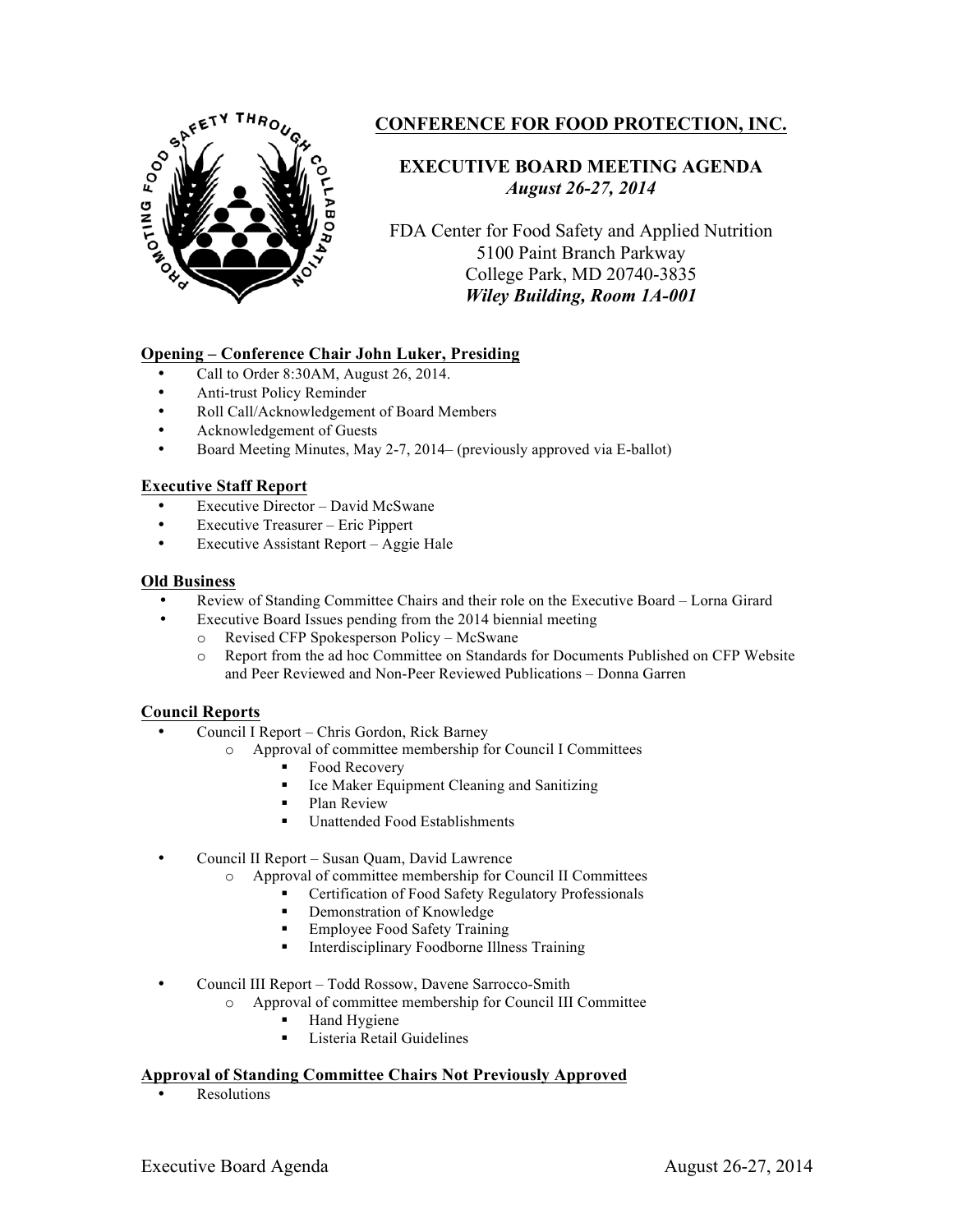

# **CONFERENCE FOR FOOD PROTECTION, INC.**

# **EXECUTIVE BOARD MEETING AGENDA** *August 26-27, 2014*

FDA Center for Food Safety and Applied Nutrition 5100 Paint Branch Parkway College Park, MD 20740-3835 *Wiley Building, Room 1A-001*

# **Opening – Conference Chair John Luker, Presiding**

- Call to Order 8:30AM, August 26, 2014.
- Anti-trust Policy Reminder
- Roll Call/Acknowledgement of Board Members
- Acknowledgement of Guests
- Board Meeting Minutes, May 2-7, 2014– (previously approved via E-ballot)

## **Executive Staff Report**

- Executive Director David McSwane
- Executive Treasurer Eric Pippert
- Executive Assistant Report Aggie Hale

## **Old Business**

- Review of Standing Committee Chairs and their role on the Executive Board Lorna Girard
- Executive Board Issues pending from the 2014 biennial meeting<br>  $\circ$  Revised CFP Spokesperson Policy McSwane
	- Revised CFP Spokesperson Policy McSwane
	- o Report from the ad hoc Committee on Standards for Documents Published on CFP Website and Peer Reviewed and Non-Peer Reviewed Publications – Donna Garren

### **Council Reports**

- Council I Report Chris Gordon, Rick Barney
	- o Approval of committee membership for Council I Committees
		- Food Recovery
		- § Ice Maker Equipment Cleaning and Sanitizing
		- § Plan Review
		- Unattended Food Establishments
- Council II Report Susan Quam, David Lawrence
	- o Approval of committee membership for Council II Committees
		- Certification of Food Safety Regulatory Professionals
			- § Demonstration of Knowledge
			- § Employee Food Safety Training
		- Interdisciplinary Foodborne Illness Training

• Council III Report – Todd Rossow, Davene Sarrocco-Smith

- o Approval of committee membership for Council III Committee
	- Hand Hygiene
	- Listeria Retail Guidelines

### **Approval of Standing Committee Chairs Not Previously Approved**

**Resolutions**